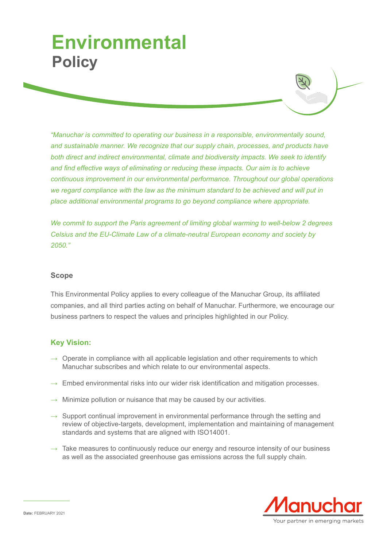## **Environmental Policy**

*"Manuchar is committed to operating our business in a responsible, environmentally sound, and sustainable manner. We recognize that our supply chain, processes, and products have both direct and indirect environmental, climate and biodiversity impacts. We seek to identify and find effective ways of eliminating or reducing these impacts. Our aim is to achieve continuous improvement in our environmental performance. Throughout our global operations we regard compliance with the law as the minimum standard to be achieved and will put in place additional environmental programs to go beyond compliance where appropriate.*

*We commit to support the Paris agreement of limiting global warming to well-below 2 degrees Celsius and the EU-Climate Law of a climate-neutral European economy and society by 2050."*

## **Scope**

This Environmental Policy applies to every colleague of the Manuchar Group, its affiliated companies, and all third parties acting on behalf of Manuchar. Furthermore, we encourage our business partners to respect the values and principles highlighted in our Policy.

## **Key Vision:**

- $\rightarrow$  Operate in compliance with all applicable legislation and other requirements to which Manuchar subscribes and which relate to our environmental aspects.
- $\rightarrow$  Embed environmental risks into our wider risk identification and mitigation processes.
- $\rightarrow$  Minimize pollution or nuisance that may be caused by our activities.
- $\rightarrow$  Support continual improvement in environmental performance through the setting and review of objective-targets, development, implementation and maintaining of management standards and systems that are aligned with ISO14001.
- $\rightarrow$  Take measures to continuously reduce our energy and resource intensity of our business as well as the associated greenhouse gas emissions across the full supply chain.